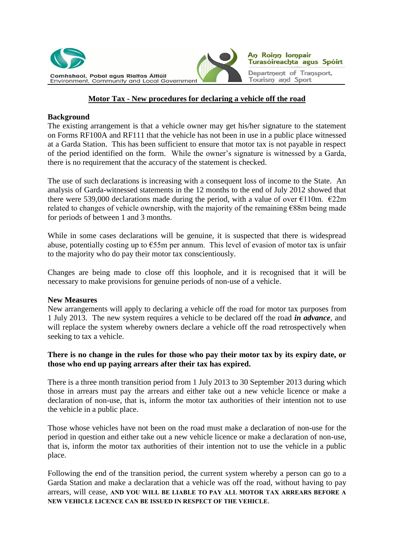



# **Motor Tax - New procedures for declaring a vehicle off the road**

## **Background**

The existing arrangement is that a vehicle owner may get his/her signature to the statement on Forms RF100A and RF111 that the vehicle has not been in use in a public place witnessed at a Garda Station. This has been sufficient to ensure that motor tax is not payable in respect of the period identified on the form. While the owner's signature is witnessed by a Garda, there is no requirement that the accuracy of the statement is checked.

The use of such declarations is increasing with a consequent loss of income to the State. An analysis of Garda-witnessed statements in the 12 months to the end of July 2012 showed that there were 539,000 declarations made during the period, with a value of over  $\epsilon$ 110m.  $\epsilon$ 22m related to changes of vehicle ownership, with the majority of the remaining €88m being made for periods of between 1 and 3 months.

While in some cases declarations will be genuine, it is suspected that there is widespread abuse, potentially costing up to  $\epsilon$ 55m per annum. This level of evasion of motor tax is unfair to the majority who do pay their motor tax conscientiously.

Changes are being made to close off this loophole, and it is recognised that it will be necessary to make provisions for genuine periods of non-use of a vehicle.

### **New Measures**

New arrangements will apply to declaring a vehicle off the road for motor tax purposes from 1 July 2013. The new system requires a vehicle to be declared off the road *in advance*, and will replace the system whereby owners declare a vehicle off the road retrospectively when seeking to tax a vehicle.

# **There is no change in the rules for those who pay their motor tax by its expiry date, or those who end up paying arrears after their tax has expired.**

There is a three month transition period from 1 July 2013 to 30 September 2013 during which those in arrears must pay the arrears and either take out a new vehicle licence or make a declaration of non-use, that is, inform the motor tax authorities of their intention not to use the vehicle in a public place.

Those whose vehicles have not been on the road must make a declaration of non-use for the period in question and either take out a new vehicle licence or make a declaration of non-use, that is, inform the motor tax authorities of their intention not to use the vehicle in a public place.

Following the end of the transition period, the current system whereby a person can go to a Garda Station and make a declaration that a vehicle was off the road, without having to pay arrears, will cease, **AND YOU WILL BE LIABLE TO PAY ALL MOTOR TAX ARREARS BEFORE A NEW VEHICLE LICENCE CAN BE ISSUED IN RESPECT OF THE VEHICLE**.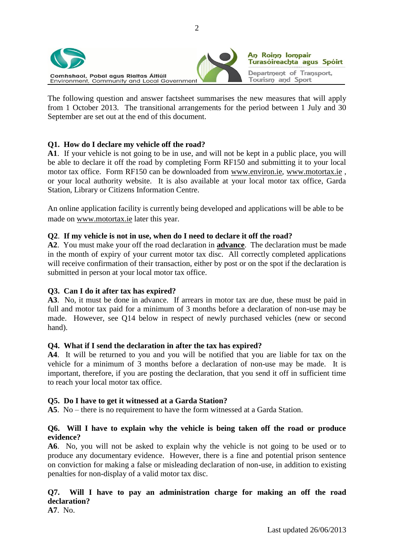

The following question and answer factsheet summarises the new measures that will apply from 1 October 2013. The transitional arrangements for the period between 1 July and 30 September are set out at the end of this document.

# **Q1. How do I declare my vehicle off the road?**

**A1**. If your vehicle is not going to be in use, and will not be kept in a public place, you will be able to declare it off the road by completing Form RF150 and submitting it to your local motor tax office. Form RF150 can be downloaded from [www.environ.ie,](http://www.environ.ie/) [www.motortax.ie](http://www.motortax.ie/) , or your local authority website. It is also available at your local motor tax office, Garda Station, Library or Citizens Information Centre.

An online application facility is currently being developed and applications will be able to be made on [www.motortax.ie](http://www.motortax.ie/) later this year.

## **Q2**. **If my vehicle is not in use, when do I need to declare it off the road?**

**A2**. You must make your off the road declaration in **advance**. The declaration must be made in the month of expiry of your current motor tax disc. All correctly completed applications will receive confirmation of their transaction, either by post or on the spot if the declaration is submitted in person at your local motor tax office.

# **Q3. Can I do it after tax has expired?**

**A3**. No, it must be done in advance. If arrears in motor tax are due, these must be paid in full and motor tax paid for a minimum of 3 months before a declaration of non-use may be made. However, see Q14 below in respect of newly purchased vehicles (new or second hand).

### **Q4. What if I send the declaration in after the tax has expired?**

**A4**. It will be returned to you and you will be notified that you are liable for tax on the vehicle for a minimum of 3 months before a declaration of non-use may be made. It is important, therefore, if you are posting the declaration, that you send it off in sufficient time to reach your local motor tax office.

### **Q5. Do I have to get it witnessed at a Garda Station?**

**A5**. No – there is no requirement to have the form witnessed at a Garda Station.

## **Q6. Will I have to explain why the vehicle is being taken off the road or produce evidence?**

**A6**. No, you will not be asked to explain why the vehicle is not going to be used or to produce any documentary evidence. However, there is a fine and potential prison sentence on conviction for making a false or misleading declaration of non-use, in addition to existing penalties for non-display of a valid motor tax disc.

# **Q7. Will I have to pay an administration charge for making an off the road declaration?**

**A7**. No.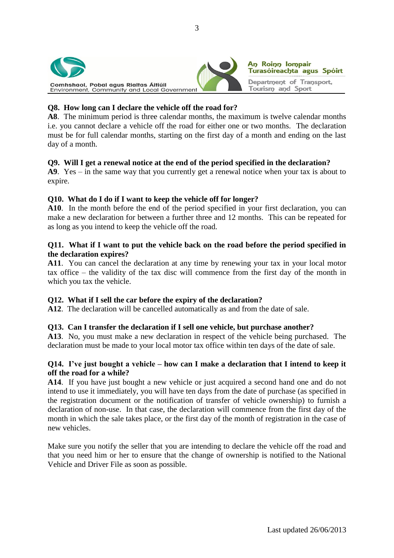



## **Q8. How long can I declare the vehicle off the road for?**

**A8**. The minimum period is three calendar months, the maximum is twelve calendar months i.e. you cannot declare a vehicle off the road for either one or two months. The declaration must be for full calendar months, starting on the first day of a month and ending on the last day of a month.

## **Q9. Will I get a renewal notice at the end of the period specified in the declaration?**

**A9**. Yes – in the same way that you currently get a renewal notice when your tax is about to expire.

# **Q10. What do I do if I want to keep the vehicle off for longer?**

**A10**. In the month before the end of the period specified in your first declaration, you can make a new declaration for between a further three and 12 months. This can be repeated for as long as you intend to keep the vehicle off the road.

# **Q11. What if I want to put the vehicle back on the road before the period specified in the declaration expires?**

**A11**. You can cancel the declaration at any time by renewing your tax in your local motor tax office – the validity of the tax disc will commence from the first day of the month in which you tax the vehicle.

# **Q12. What if I sell the car before the expiry of the declaration?**

**A12**. The declaration will be cancelled automatically as and from the date of sale.

# **Q13. Can I transfer the declaration if I sell one vehicle, but purchase another?**

**A13**. No, you must make a new declaration in respect of the vehicle being purchased. The declaration must be made to your local motor tax office within ten days of the date of sale.

## **Q14. I've just bought a vehicle – how can I make a declaration that I intend to keep it off the road for a while?**

**A14**. If you have just bought a new vehicle or just acquired a second hand one and do not intend to use it immediately, you will have ten days from the date of purchase (as specified in the registration document or the notification of transfer of vehicle ownership) to furnish a declaration of non-use. In that case, the declaration will commence from the first day of the month in which the sale takes place, or the first day of the month of registration in the case of new vehicles.

Make sure you notify the seller that you are intending to declare the vehicle off the road and that you need him or her to ensure that the change of ownership is notified to the National Vehicle and Driver File as soon as possible.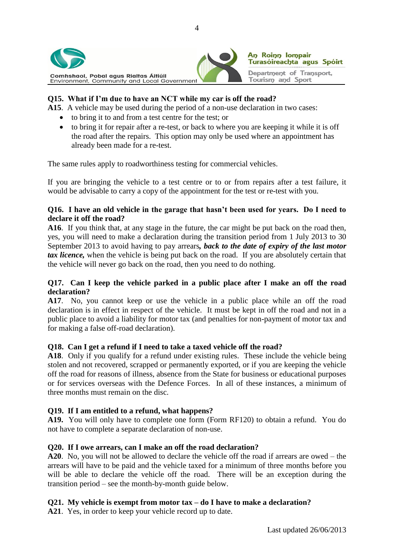



# **Q15. What if I'm due to have an NCT while my car is off the road?**

**A15**. A vehicle may be used during the period of a non-use declaration in two cases:

- to bring it to and from a test centre for the test; or
- to bring it for repair after a re-test, or back to where you are keeping it while it is off the road after the repairs. This option may only be used where an appointment has already been made for a re-test.

The same rules apply to roadworthiness testing for commercial vehicles.

If you are bringing the vehicle to a test centre or to or from repairs after a test failure, it would be advisable to carry a copy of the appointment for the test or re-test with you.

## **Q16. I have an old vehicle in the garage that hasn't been used for years. Do I need to declare it off the road?**

**A16**. If you think that, at any stage in the future, the car might be put back on the road then, yes, you will need to make a declaration during the transition period from 1 July 2013 to 30 September 2013 to avoid having to pay arrears*, back to the date of expiry of the last motor tax licence,* when the vehicle is being put back on the road. If you are absolutely certain that the vehicle will never go back on the road, then you need to do nothing.

# **Q17. Can I keep the vehicle parked in a public place after I make an off the road declaration?**

**A17**. No, you cannot keep or use the vehicle in a public place while an off the road declaration is in effect in respect of the vehicle. It must be kept in off the road and not in a public place to avoid a liability for motor tax (and penalties for non-payment of motor tax and for making a false off-road declaration).

# **Q18. Can I get a refund if I need to take a taxed vehicle off the road?**

**A18**. Only if you qualify for a refund under existing rules. These include the vehicle being stolen and not recovered, scrapped or permanently exported, or if you are keeping the vehicle off the road for reasons of illness, absence from the State for business or educational purposes or for services overseas with the Defence Forces. In all of these instances, a minimum of three months must remain on the disc.

# **Q19. If I am entitled to a refund, what happens?**

**A19.** You will only have to complete one form (Form RF120) to obtain a refund. You do not have to complete a separate declaration of non-use.

# **Q20. If I owe arrears, can I make an off the road declaration?**

**A20**. No, you will not be allowed to declare the vehicle off the road if arrears are owed – the arrears will have to be paid and the vehicle taxed for a minimum of three months before you will be able to declare the vehicle off the road. There will be an exception during the transition period – see the month-by-month guide below.

# **Q21. My vehicle is exempt from motor tax – do I have to make a declaration?**

**A21**. Yes, in order to keep your vehicle record up to date.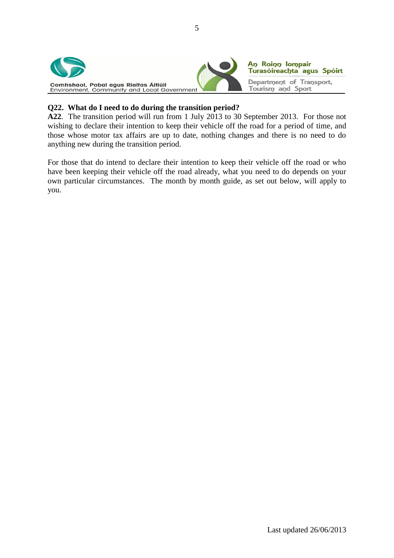

## **Q22. What do I need to do during the transition period?**

**A22**. The transition period will run from 1 July 2013 to 30 September 2013. For those not wishing to declare their intention to keep their vehicle off the road for a period of time, and those whose motor tax affairs are up to date, nothing changes and there is no need to do anything new during the transition period.

For those that do intend to declare their intention to keep their vehicle off the road or who have been keeping their vehicle off the road already, what you need to do depends on your own particular circumstances. The month by month guide, as set out below, will apply to you.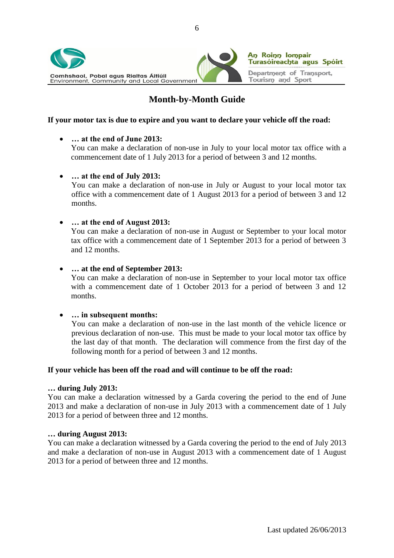

# **Month-by-Month Guide**

## **If your motor tax is due to expire and you want to declare your vehicle off the road:**

## **… at the end of June 2013:**

You can make a declaration of non-use in July to your local motor tax office with a commencement date of 1 July 2013 for a period of between 3 and 12 months.

### **… at the end of July 2013:**

You can make a declaration of non-use in July or August to your local motor tax office with a commencement date of 1 August 2013 for a period of between 3 and 12 months.

## **… at the end of August 2013:**

You can make a declaration of non-use in August or September to your local motor tax office with a commencement date of 1 September 2013 for a period of between 3 and 12 months.

### **… at the end of September 2013:**

You can make a declaration of non-use in September to your local motor tax office with a commencement date of 1 October 2013 for a period of between 3 and 12 months.

### **… in subsequent months:**

You can make a declaration of non-use in the last month of the vehicle licence or previous declaration of non-use. This must be made to your local motor tax office by the last day of that month. The declaration will commence from the first day of the following month for a period of between 3 and 12 months.

### **If your vehicle has been off the road and will continue to be off the road:**

### **… during July 2013:**

You can make a declaration witnessed by a Garda covering the period to the end of June 2013 and make a declaration of non-use in July 2013 with a commencement date of 1 July 2013 for a period of between three and 12 months.

### **… during August 2013:**

You can make a declaration witnessed by a Garda covering the period to the end of July 2013 and make a declaration of non-use in August 2013 with a commencement date of 1 August 2013 for a period of between three and 12 months.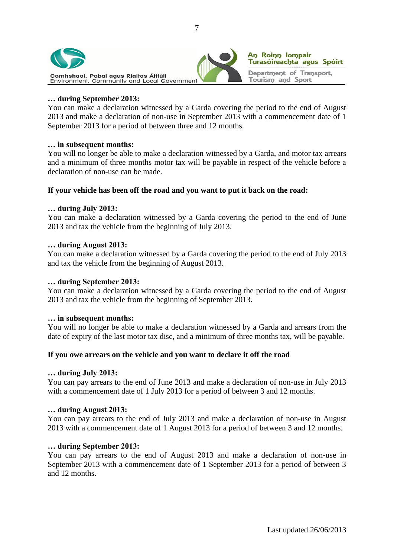



### **… during September 2013:**

You can make a declaration witnessed by a Garda covering the period to the end of August 2013 and make a declaration of non-use in September 2013 with a commencement date of 1 September 2013 for a period of between three and 12 months.

### **… in subsequent months:**

You will no longer be able to make a declaration witnessed by a Garda, and motor tax arrears and a minimum of three months motor tax will be payable in respect of the vehicle before a declaration of non-use can be made.

### **If your vehicle has been off the road and you want to put it back on the road:**

### **… during July 2013:**

You can make a declaration witnessed by a Garda covering the period to the end of June 2013 and tax the vehicle from the beginning of July 2013.

### **… during August 2013:**

You can make a declaration witnessed by a Garda covering the period to the end of July 2013 and tax the vehicle from the beginning of August 2013.

### **… during September 2013:**

You can make a declaration witnessed by a Garda covering the period to the end of August 2013 and tax the vehicle from the beginning of September 2013.

### **… in subsequent months:**

You will no longer be able to make a declaration witnessed by a Garda and arrears from the date of expiry of the last motor tax disc, and a minimum of three months tax, will be payable.

### **If you owe arrears on the vehicle and you want to declare it off the road**

### **… during July 2013:**

You can pay arrears to the end of June 2013 and make a declaration of non-use in July 2013 with a commencement date of 1 July 2013 for a period of between 3 and 12 months.

### **… during August 2013:**

You can pay arrears to the end of July 2013 and make a declaration of non-use in August 2013 with a commencement date of 1 August 2013 for a period of between 3 and 12 months.

### **… during September 2013:**

You can pay arrears to the end of August 2013 and make a declaration of non-use in September 2013 with a commencement date of 1 September 2013 for a period of between 3 and 12 months.